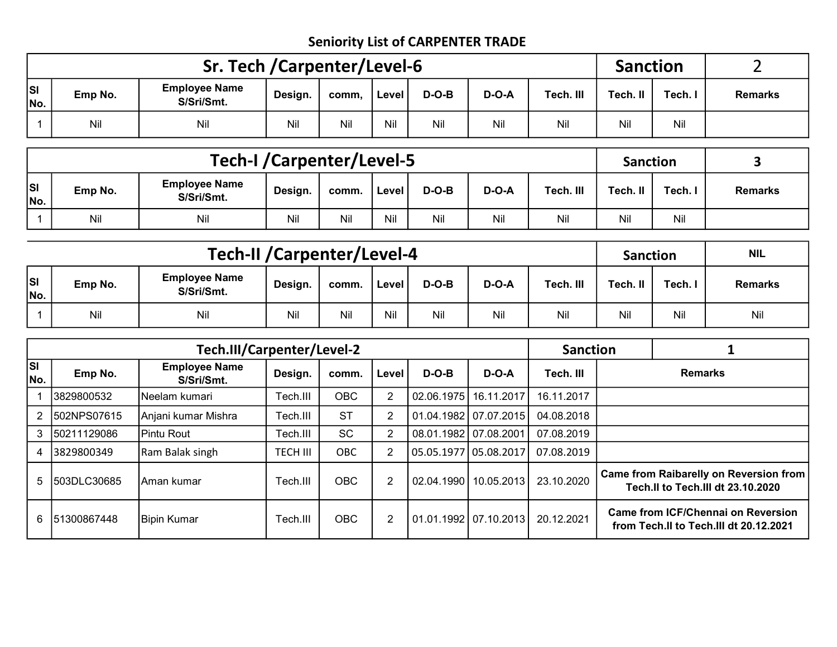## Seniority List of CARPENTER TRADE

|            |         | Sr. Tech / Carpenter/Level-6       |         | <b>Sanction</b> |         |         |         |           |          |       |                |
|------------|---------|------------------------------------|---------|-----------------|---------|---------|---------|-----------|----------|-------|----------------|
| lsı<br>No. | Emp No. | <b>Employee Name</b><br>S/Sri/Smt. | Design. | comm.           | l Level | $D-O-B$ | $D-O-A$ | Tech. III | Tech. II | Tech. | <b>Remarks</b> |
|            | Nil     | Nil                                | Nil     | Nil             | Ni      | Nil     | Nil     | Nil       | Nil      | Nil   |                |

|            |                                                     | <b>Tech-I / Carpenter/Level-5</b>  |         |       |         |         |         |           | <b>Sanction</b> |         |                |
|------------|-----------------------------------------------------|------------------------------------|---------|-------|---------|---------|---------|-----------|-----------------|---------|----------------|
| Isı<br>No. | Emp No.                                             | <b>Employee Name</b><br>S/Sri/Smt. | Design. | comm. | l Level | $D-O-B$ | $D-O-A$ | Tech. III | Tech. II        | Tech. I | <b>Remarks</b> |
|            | Nil<br>Nil<br>Nil<br>Nil<br>Nil<br>Ni<br>Nil<br>Nil |                                    |         |       |         |         |         |           |                 | Nil     |                |

|                  |                                                                                                               | <b>Tech-II / Carpenter/Level-4</b> |     | <b>Sanction</b> |     | <b>NIL</b> |     |     |     |         |                |
|------------------|---------------------------------------------------------------------------------------------------------------|------------------------------------|-----|-----------------|-----|------------|-----|-----|-----|---------|----------------|
| <b>SI</b><br>No. | <b>Employee Name</b><br>Tech. III<br>$D-O-B$<br>$D-O-A$<br>Emp No.<br>Design.<br>comm.<br>Level<br>S/Sri/Smt. |                                    |     |                 |     |            |     |     |     | Tech. I | <b>Remarks</b> |
|                  | Nil                                                                                                           | Nil                                | Nil | Nil             | Nil | Nil        | Nil | Nil | Nil | Nil     | Nil            |

|                  |             | Tech.III/Carpenter/Level-2         |                 |            |                |            |                         | <b>Sanction</b> |                                                                                     |
|------------------|-------------|------------------------------------|-----------------|------------|----------------|------------|-------------------------|-----------------|-------------------------------------------------------------------------------------|
| <b>SI</b><br>No. | Emp No.     | <b>Employee Name</b><br>S/Sri/Smt. | Design.         | comm.      | Level          | $D-O-B$    | $D-O-A$                 | Tech. III       | <b>Remarks</b>                                                                      |
|                  | 3829800532  | Neelam kumari                      | Tech.III        | <b>OBC</b> | $\overline{2}$ | 02.06.1975 | 16.11.2017              | 16.11.2017      |                                                                                     |
| 2                | 502NPS07615 | Anjani kumar Mishra                | Tech.III        | <b>ST</b>  | $\overline{2}$ |            | 01.04.1982 07.07.2015   | 04.08.2018      |                                                                                     |
| 3                | 50211129086 | Pintu Rout                         | Tech.III        | <b>SC</b>  | 2              |            | 08.01.1982 07.08.2001   | 07.08.2019      |                                                                                     |
| 4                | 3829800349  | Ram Balak singh                    | <b>TECH III</b> | <b>OBC</b> | 2              |            | 05.05.1977 05.08.2017   | 07.08.2019      |                                                                                     |
| 5                | 503DLC30685 | lAman kumar                        | Tech.III        | <b>OBC</b> | $\overline{2}$ | 02.04.1990 | 10.05.2013              | 23.10.2020      | <b>Came from Raibarelly on Reversion from</b><br>Tech.II to Tech.III dt 23.10.2020  |
| 6                | 51300867448 | <b>Bipin Kumar</b>                 | Tech.III        | <b>OBC</b> | 2              |            | 01.01.1992   07.10.2013 | 20.12.2021      | <b>Came from ICF/Chennal on Reversion</b><br>from Tech.II to Tech.III dt 20.12.2021 |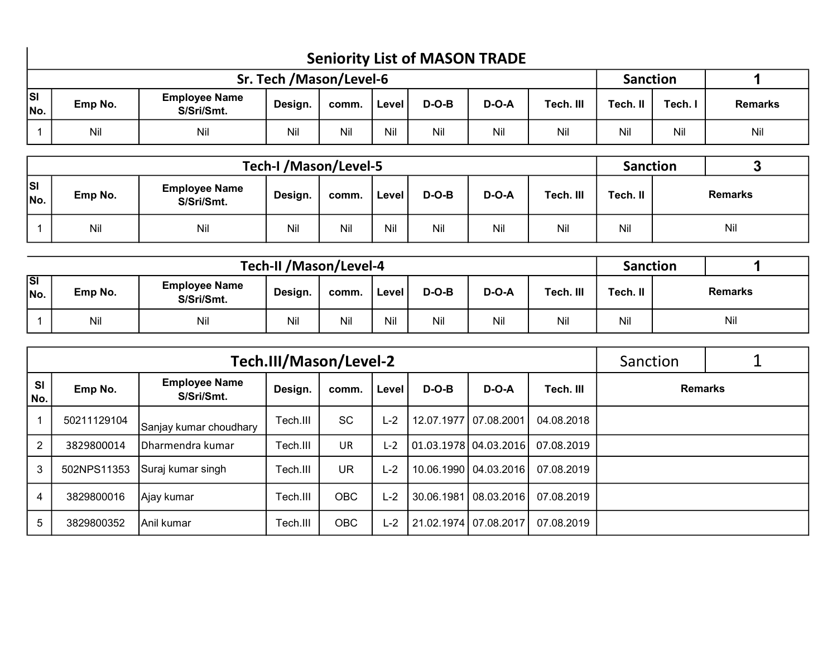|                                                                    | <b>Seniority List of MASON TRADE</b> |                         |                 |                |  |  |  |  |  |  |     |  |  |
|--------------------------------------------------------------------|--------------------------------------|-------------------------|-----------------|----------------|--|--|--|--|--|--|-----|--|--|
|                                                                    |                                      | Sr. Tech /Mason/Level-6 | <b>Sanction</b> |                |  |  |  |  |  |  |     |  |  |
| lsı<br>No.                                                         | Emp No.                              | Tech. II                | Tech. I         | <b>Remarks</b> |  |  |  |  |  |  |     |  |  |
| Nil<br>Nil<br>Nil<br>Nil<br>Nil<br>Nil<br>Nil<br>Nil<br>Nil<br>Nil |                                      |                         |                 |                |  |  |  |  |  |  | Nil |  |  |

|                  |         | Tech-I /Mason/Level-5              |         | <b>Sanction</b> |       |         |         |           |          |  |                |
|------------------|---------|------------------------------------|---------|-----------------|-------|---------|---------|-----------|----------|--|----------------|
| <b>SI</b><br>No. | Emp No. | <b>Employee Name</b><br>S/Sri/Smt. | Design. | comm.           | Level | $D-O-B$ | $D-O-A$ | Tech. III | Tech. II |  | <b>Remarks</b> |
|                  | Nil     | Nil                                | Nil     | Nil             | Nil   | Nil     | Nil     | Nil       | Nil      |  | Nil            |

|                  |         | <b>Tech-II /Mason/Level-4</b>      |         | <b>Sanction</b> |       |         |              |           |          |                |
|------------------|---------|------------------------------------|---------|-----------------|-------|---------|--------------|-----------|----------|----------------|
| <b>SI</b><br>No. | Emp No. | <b>Employee Name</b><br>S/Sri/Smt. | Design. | comm.           | Level | $D-O-B$ | <b>D-O-A</b> | Tech. III | Tech. II | <b>Remarks</b> |
|                  | Nil     | Nil                                | Nil     | Nil             | Nil   | Nil     | Nil          | Nil       | Nil      | Nil            |

|                  |             |                                    | Tech.III/Mason/Level-2 |            |       |                       |                                 |            | Sanction       |  |
|------------------|-------------|------------------------------------|------------------------|------------|-------|-----------------------|---------------------------------|------------|----------------|--|
| <b>SI</b><br>No. | Emp No.     | <b>Employee Name</b><br>S/Sri/Smt. | Design.                | comm.      | Level | $D-O-B$               | $D-O-A$                         | Tech. III  | <b>Remarks</b> |  |
|                  | 50211129104 | Sanjay kumar choudhary             | Tech.III               | <b>SC</b>  | $L-2$ | 12.07.1977 07.08.2001 |                                 | 04.08.2018 |                |  |
| $\overline{2}$   | 3829800014  | Dharmendra kumar                   | Tech.III               | <b>UR</b>  | $L-2$ |                       | $\vert$ 01.03.1978   04.03.2016 | 07.08.2019 |                |  |
| 3                | 502NPS11353 | Suraj kumar singh                  | Tech.III               | <b>UR</b>  | L-2   |                       | 10.06.1990   04.03.2016         | 07.08.2019 |                |  |
| 4                | 3829800016  | Ajay kumar                         | Tech.III               | <b>OBC</b> | $L-2$ |                       | 30.06.1981   08.03.2016         | 07.08.2019 |                |  |
| 5                | 3829800352  | lAnil kumar                        | Tech.III               | <b>OBC</b> | $L-2$ |                       | 21.02.1974 07.08.2017           | 07.08.2019 |                |  |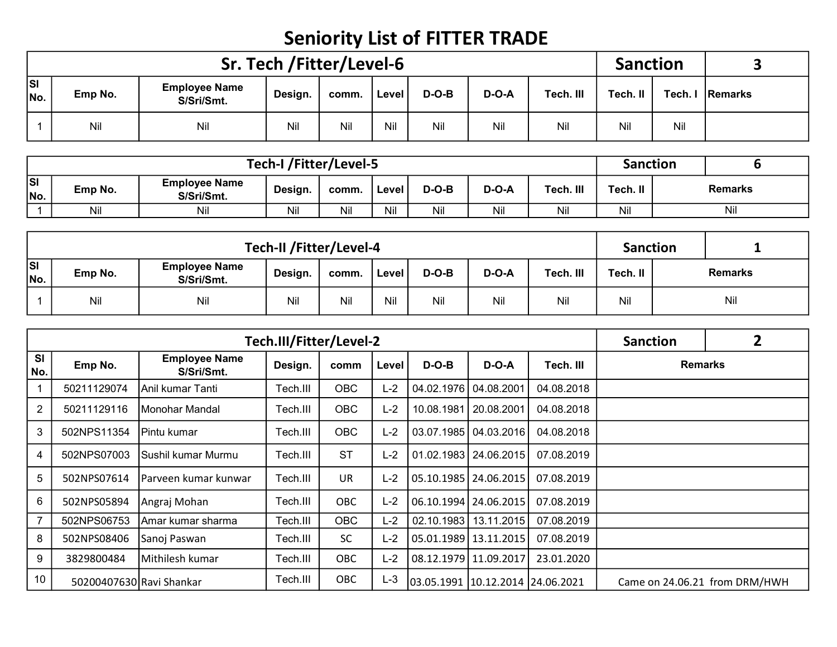## Seniority List of FITTER TRADE

|                  |                                                                                                               |     | Sr. Tech /Fitter/Level-6 |     |     |     |     |     | <b>Sanction</b> |     |                 |
|------------------|---------------------------------------------------------------------------------------------------------------|-----|--------------------------|-----|-----|-----|-----|-----|-----------------|-----|-----------------|
| <b>SI</b><br>No. | <b>Employee Name</b><br>Tech. III<br>$D-O-B$<br>$D-O-A$<br>Emp No.<br>Level<br>Design.<br>comm.<br>S/Sri/Smt. |     |                          |     |     |     |     |     | Tech. II        |     | Tech. I Remarks |
|                  | Nil                                                                                                           | Nil | Nil                      | Nil | Nil | Nil | Nil | Nil | Nil             | Nil |                 |

|            |                                                      |                                    | Tech-I /Fitter/Level-5 |       |       |         |         |           | <b>Sanction</b> |         |
|------------|------------------------------------------------------|------------------------------------|------------------------|-------|-------|---------|---------|-----------|-----------------|---------|
| lsı<br>No. | Emp No.                                              | <b>Employee Name</b><br>S/Sri/Smt. | Design.                | comm. | Level | $D-O-B$ | $D-O-A$ | Tech. III | Tech. II        | Remarks |
|            | Nil<br>Nil<br>Nil<br>Nil<br>Nil<br>Nil<br>Nil<br>Nil |                                    |                        |       |       |         |         |           |                 | Nil     |

|                  |                                                                                                               |     | Tech-II /Fitter/Level-4 |     |     |     |     |     | <b>Sanction</b> |                |
|------------------|---------------------------------------------------------------------------------------------------------------|-----|-------------------------|-----|-----|-----|-----|-----|-----------------|----------------|
| <b>SI</b><br>No. | <b>Employee Name</b><br>$D-O-B$<br>Tech. III<br>Emp No.<br>$D-O-A$<br>Design.<br>comm.<br>Level<br>S/Sri/Smt. |     |                         |     |     |     |     |     |                 | <b>Remarks</b> |
|                  | Nil                                                                                                           | Nil | Nil                     | Nil | Nil | Nil | Nil | Nil | Nil             | Nil            |

|                  |             |                                    | Tech.III/Fitter/Level-2 |            |       |                                  |                         |            | <b>Sanction</b>               | 2 |
|------------------|-------------|------------------------------------|-------------------------|------------|-------|----------------------------------|-------------------------|------------|-------------------------------|---|
| <b>SI</b><br>No. | Emp No.     | <b>Employee Name</b><br>S/Sri/Smt. | Design.                 | comm       | Level | $D-O-B$                          | $D-O-A$                 | Tech. III  | <b>Remarks</b>                |   |
|                  | 50211129074 | Anil kumar Tanti                   | Tech.III                | <b>OBC</b> | $L-2$ | 04.02.1976                       | 04.08.2001              | 04.08.2018 |                               |   |
| $\overline{2}$   | 50211129116 | Monohar Mandal                     | Tech.III                | <b>OBC</b> | $L-2$ | 10.08.1981                       | 20.08.2001              | 04.08.2018 |                               |   |
| 3                | 502NPS11354 | IPintu kumar                       | Tech.III                | <b>OBC</b> | $L-2$ |                                  | 03.07.1985   04.03.2016 | 04.08.2018 |                               |   |
| 4                | 502NPS07003 | İSushil kumar Murmu                | Tech.III                | <b>ST</b>  | $L-2$ |                                  | 01.02.1983   24.06.2015 | 07.08.2019 |                               |   |
| 5                | 502NPS07614 | Parveen kumar kunwar               | Tech.III                | <b>UR</b>  | $L-2$ |                                  | 05.10.1985   24.06.2015 | 07.08.2019 |                               |   |
| 6                | 502NPS05894 | Angraj Mohan                       | Tech.III                | <b>OBC</b> | $L-2$ |                                  | 06.10.1994   24.06.2015 | 07.08.2019 |                               |   |
| $\overline{7}$   | 502NPS06753 | Amar kumar sharma                  | Tech.III                | <b>OBC</b> | $L-2$ | 02.10.1983                       | 13.11.2015              | 07.08.2019 |                               |   |
| 8                | 502NPS08406 | Sanoj Paswan                       | Tech.III                | <b>SC</b>  | $L-2$ |                                  | 05.01.1989 13.11.2015   | 07.08.2019 |                               |   |
| 9                | 3829800484  | Mithilesh kumar                    | Tech.III                | OBC        | $L-2$ |                                  | 08.12.1979 11.09.2017   | 23.01.2020 |                               |   |
| 10               |             | 50200407630 Ravi Shankar           | Tech.III                | OBC        | $L-3$ | 03.05.1991 10.12.2014 24.06.2021 |                         |            | Came on 24.06.21 from DRM/HWH |   |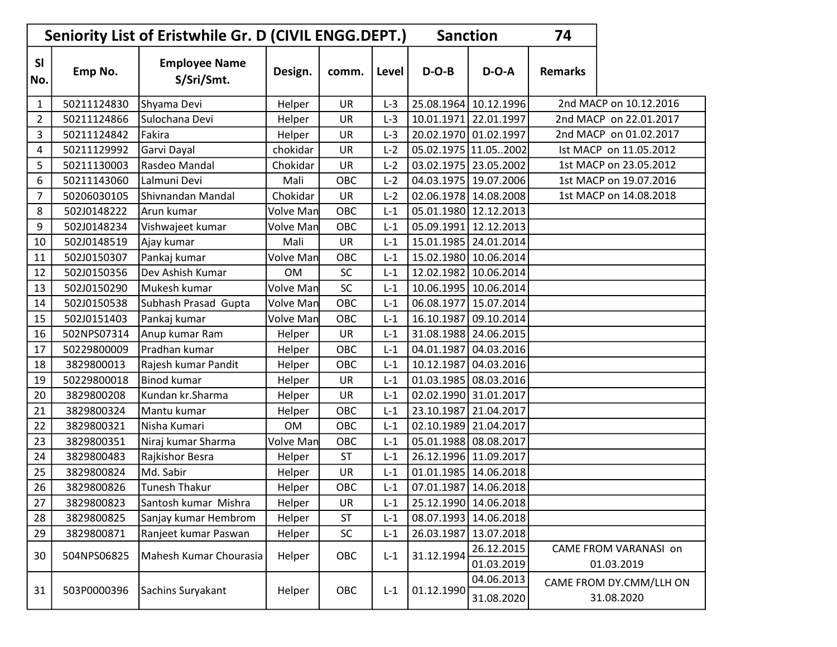| Seniority List of Eristwhile Gr. D (CIVIL ENGG.DEPT.)<br><b>Sanction</b><br>74 |             |                                    |                  |           |       |            |                          |                        |                                       |  |  |
|--------------------------------------------------------------------------------|-------------|------------------------------------|------------------|-----------|-------|------------|--------------------------|------------------------|---------------------------------------|--|--|
| <b>SI</b><br>No.                                                               | Emp No.     | <b>Employee Name</b><br>S/Sri/Smt. | Design.          | comm.     | Level | $D-O-B$    | $D-O-A$                  | <b>Remarks</b>         |                                       |  |  |
| 1                                                                              | 50211124830 | Shyama Devi                        | Helper           | <b>UR</b> | $L-3$ |            | 25.08.1964 10.12.1996    |                        | 2nd MACP on 10.12.2016                |  |  |
| $\overline{2}$                                                                 | 50211124866 | Sulochana Devi                     | Helper           | UR        | $L-3$ |            | 10.01.1971 22.01.1997    |                        | 2nd MACP on 22.01.2017                |  |  |
| 3                                                                              | 50211124842 | Fakira                             | Helper           | <b>UR</b> | $L-3$ |            | 20.02.1970 01.02.1997    |                        | 2nd MACP on 01.02.2017                |  |  |
| 4                                                                              | 50211129992 | Garvi Dayal                        | chokidar         | <b>UR</b> | $L-2$ |            | 05.02.1975 11.052002     |                        | Ist MACP on 11.05.2012                |  |  |
| 5                                                                              | 50211130003 | Rasdeo Mandal                      | Chokidar         | <b>UR</b> | $L-2$ |            | 03.02.1975 23.05.2002    | 1st MACP on 23.05.2012 |                                       |  |  |
| 6                                                                              | 50211143060 | Lalmuni Devi                       | Mali             | OBC       | $L-2$ |            | 04.03.1975   19.07.2006  |                        | 1st MACP on 19.07.2016                |  |  |
| 7                                                                              | 50206030105 | Shivnandan Mandal                  | Chokidar         | UR        | $L-2$ |            | 02.06.1978 14.08.2008    | 1st MACP on 14.08.2018 |                                       |  |  |
| 8                                                                              | 502J0148222 | Arun kumar                         | Volve Man        | OBC       | $L-1$ |            | 05.01.1980 12.12.2013    |                        |                                       |  |  |
| 9                                                                              | 502J0148234 | Vishwajeet kumar                   | Volve Man        | OBC       | $L-1$ |            | 05.09.1991 12.12.2013    |                        |                                       |  |  |
| 10                                                                             | 502J0148519 | Ajay kumar                         | Mali             | <b>UR</b> | $L-1$ |            | 15.01.1985 24.01.2014    |                        |                                       |  |  |
| 11                                                                             | 502J0150307 | Pankaj kumar                       | <b>Volve Man</b> | OBC       | $L-1$ |            | 15.02.1980 10.06.2014    |                        |                                       |  |  |
| 12                                                                             | 502J0150356 | Dev Ashish Kumar                   | <b>OM</b>        | <b>SC</b> | $L-1$ |            | 12.02.1982 10.06.2014    |                        |                                       |  |  |
| 13                                                                             | 502J0150290 | Mukesh kumar                       | Volve Man        | SC        | $L-1$ |            | 10.06.1995   10.06.2014  |                        |                                       |  |  |
| 14                                                                             | 502J0150538 | Subhash Prasad Gupta               | Volve Man        | OBC       | $L-1$ | 06.08.1977 | 15.07.2014               |                        |                                       |  |  |
| 15                                                                             | 502J0151403 | Pankaj kumar                       | <b>Volve Man</b> | OBC       | $L-1$ | 16.10.1987 | 09.10.2014               |                        |                                       |  |  |
| 16                                                                             | 502NPS07314 | Anup kumar Ram                     | Helper           | UR        | $L-1$ |            | 31.08.1988 24.06.2015    |                        |                                       |  |  |
| 17                                                                             | 50229800009 | Pradhan kumar                      | Helper           | OBC       | $L-1$ | 04.01.1987 | 04.03.2016               |                        |                                       |  |  |
| 18                                                                             | 3829800013  | Rajesh kumar Pandit                | Helper           | OBC       | $L-1$ | 10.12.1987 | 04.03.2016               |                        |                                       |  |  |
| 19                                                                             | 50229800018 | <b>Binod kumar</b>                 | Helper           | UR        | $L-1$ | 01.03.1985 | 08.03.2016               |                        |                                       |  |  |
| 20                                                                             | 3829800208  | Kundan kr.Sharma                   | Helper           | UR        | $L-1$ |            | 02.02.1990 31.01.2017    |                        |                                       |  |  |
| 21                                                                             | 3829800324  | Mantu kumar                        | Helper           | OBC       | $L-1$ | 23.10.1987 | 21.04.2017               |                        |                                       |  |  |
| 22                                                                             | 3829800321  | Nisha Kumari                       | <b>OM</b>        | OBC       | $L-1$ |            | 02.10.1989 21.04.2017    |                        |                                       |  |  |
| 23                                                                             | 3829800351  | Niraj kumar Sharma                 | Volve Man        | OBC       | $L-1$ |            | 05.01.1988 08.08.2017    |                        |                                       |  |  |
| 24                                                                             | 3829800483  | Rajkishor Besra                    | Helper           | ST        | $L-1$ |            | 26.12.1996 11.09.2017    |                        |                                       |  |  |
| 25                                                                             | 3829800824  | Md. Sabir                          | Helper           | UR        | $L-1$ |            | 01.01.1985 14.06.2018    |                        |                                       |  |  |
| 26                                                                             | 3829800826  | <b>Tunesh Thakur</b>               | Helper           | OBC       | $L-1$ | 07.01.1987 | 14.06.2018               |                        |                                       |  |  |
| 27                                                                             | 3829800823  | Santosh kumar Mishra               | Helper           | UR        | $L-1$ |            | 25.12.1990 14.06.2018    |                        |                                       |  |  |
| 28                                                                             | 3829800825  | Sanjay kumar Hembrom               | Helper           | <b>ST</b> | $L-1$ |            | 08.07.1993 14.06.2018    |                        |                                       |  |  |
| 29                                                                             | 3829800871  | Ranjeet kumar Paswan               | Helper           | SC        | $L-1$ | 26.03.1987 | 13.07.2018               |                        |                                       |  |  |
| 30                                                                             | 504NPS06825 | Mahesh Kumar Chourasia             | Helper           | OBC       | $L-1$ | 31.12.1994 | 26.12.2015<br>01.03.2019 |                        | CAME FROM VARANASI on<br>01.03.2019   |  |  |
| 31                                                                             | 503P0000396 | Sachins Suryakant                  | Helper           | OBC       | $L-1$ | 01.12.1990 | 04.06.2013<br>31.08.2020 |                        | CAME FROM DY.CMM/LLH ON<br>31.08.2020 |  |  |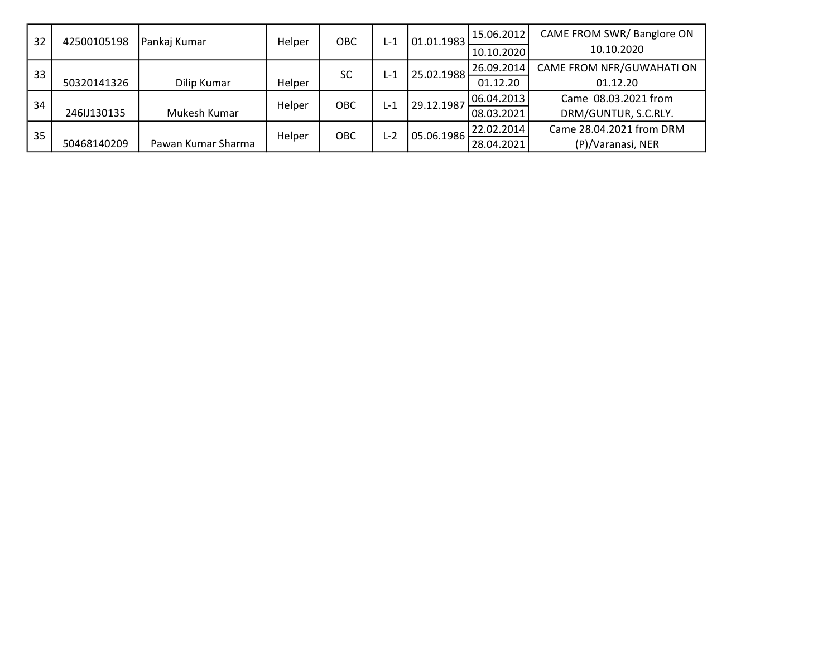| 32 | 42500105198 | Pankaj Kumar       | Helper | OBC       | L-1 | 01.01.1983 | 15.06.2012 | CAME FROM SWR/Banglore ON |
|----|-------------|--------------------|--------|-----------|-----|------------|------------|---------------------------|
|    |             |                    |        |           |     |            | 10.10.2020 | 10.10.2020                |
| 33 |             |                    |        | <b>SC</b> | L-1 | 25.02.1988 | 26.09.2014 | CAME FROM NFR/GUWAHATI ON |
|    | 50320141326 | Dilip Kumar        | Helper |           |     |            | 01.12.20   | 01.12.20                  |
| 34 |             |                    | Helper | OBC       | L-1 | 29.12.1987 | 06.04.2013 | Came 08.03.2021 from      |
|    | 246JJ130135 | Mukesh Kumar       |        |           |     |            | 08.03.2021 | DRM/GUNTUR, S.C.RLY.      |
| 35 |             |                    | Helper | OBC       | L-2 | 05.06.1986 | 22.02.2014 | Came 28.04.2021 from DRM  |
|    | 50468140209 | Pawan Kumar Sharma |        |           |     |            | 28.04.2021 | (P)/Varanasi, NER         |